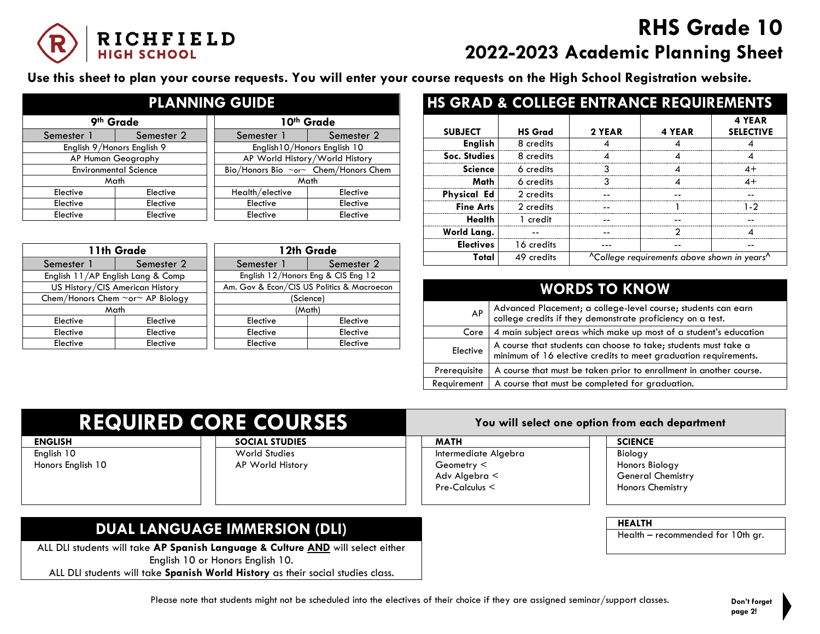

## **RHS Grade 10 2022-2023 Academic Planning Sheet**

**Use this sheet to plan your course requests. You will enter your course requests on the High School Registration website.**

| <b>PLANNING GUIDE</b>        |                            |  |                                      |            |  |
|------------------------------|----------------------------|--|--------------------------------------|------------|--|
| 9th Grade                    |                            |  | 10th Grade                           |            |  |
| Semester 1                   | Semester 2                 |  | Semester 1                           | Semester 2 |  |
|                              | English 9/Honors English 9 |  | English 10/Honors English 10         |            |  |
| AP Human Geography           |                            |  | AP World History/World History       |            |  |
| <b>Environmental Science</b> |                            |  | Bio/Honors Bio ~or~ Chem/Honors Chem |            |  |
| Math                         |                            |  |                                      | Math       |  |
| Elective                     | Elective                   |  | Health/elective                      | Elective   |  |
| Elective                     | Elective                   |  | Elective                             | Elective   |  |
| Elective                     | Elective                   |  | Elective                             | Elective   |  |

| 11th Grade                                   |                                   | 12th Grade                                 |                                    |
|----------------------------------------------|-----------------------------------|--------------------------------------------|------------------------------------|
| Semester 1                                   | Semester 2                        | Semester 1                                 | Semester 2                         |
|                                              | English 11/AP English Lang & Comp |                                            | English 12/Honors Eng & CIS Eng 12 |
| US History/CIS American History              |                                   | Am. Gov & Econ/CIS US Politics & Macroecon |                                    |
| Chem/Honors Chem $\sim$ or $\sim$ AP Biology |                                   | (Science)                                  |                                    |
| Math                                         |                                   | (Math)                                     |                                    |
| Elective                                     | Elective                          | Elective                                   | Elective                           |
| Elective                                     | Elective                          | Elective                                   | Elective                           |
| Elective                                     | Elective                          | Elective                                   | Elective                           |

| <b>HS GRAD &amp; COLLEGE ENTRANCE REQUIREMENTS</b> |                |        |                                                                     |                            |
|----------------------------------------------------|----------------|--------|---------------------------------------------------------------------|----------------------------|
| <b>SUBJECT</b>                                     | <b>HS Grad</b> | 2 YEAR | 4 YEAR                                                              | 4 YEAR<br><b>SELECTIVE</b> |
| <b>English</b>                                     | 8 credits      |        |                                                                     |                            |
| Soc. Studies                                       | 8 credits      |        |                                                                     |                            |
| <b>Science</b>                                     | 6 credits      | ว      |                                                                     | 4+                         |
| Math                                               | 6 credits      | ર      |                                                                     | $4+$                       |
| <b>Physical Ed</b>                                 | 2 credits      |        |                                                                     |                            |
| <b>Fine Arts</b>                                   | 2 credits      |        |                                                                     | 1.2                        |
| Health                                             | 1 credit       |        |                                                                     |                            |
| World Lang.                                        |                |        |                                                                     |                            |
| <b>Electives</b>                                   | 16 credits     |        |                                                                     |                            |
| Total                                              | 49 credits     |        | <sup>A</sup> College requirements above shown in years <sup>A</sup> |                            |

# **WORDS TO KNOW**

| AP           | Advanced Placement; a college-level course; students can earn college credits if they demonstrate proficiency on a test.           |
|--------------|------------------------------------------------------------------------------------------------------------------------------------|
| Core         | 4 main subject areas which make up most of a student's education                                                                   |
| Elective     | A course that students can choose to take; students must take a<br>minimum of 16 elective credits to meet graduation requirements. |
| Prerequisite | A course that must be taken prior to enrollment in another course.                                                                 |
| Requirement  | A course that must be completed for graduation.                                                                                    |

| <b>REQUIRED CORE COURSES</b>    |                                          | You will select one option from each department                            |                                                                                  |  |
|---------------------------------|------------------------------------------|----------------------------------------------------------------------------|----------------------------------------------------------------------------------|--|
| ENGLISH                         | <b>SOCIAL STUDIES</b>                    | <b>MATH</b>                                                                | <b>SCIENCE</b>                                                                   |  |
| English 10<br>Honors English 10 | <b>World Studies</b><br>AP World History | Intermediate Algebra<br>Geometry $\leq$<br>Adv Algebra <<br>Pre-Calculus < | <b>Biology</b><br>Honors Biology<br><b>General Chemistry</b><br>Honors Chemistry |  |

#### **DUAL LANGUAGE IMMERSION (DLI) HEALTH**<br>
Health Health

ALL DLI students will take **AP Spanish Language & Culture AND** will select either English 10 or Honors English 10.

ALL DLI students will take **Spanish World History** as their social studies class.

Health – recommended for 10th gr.